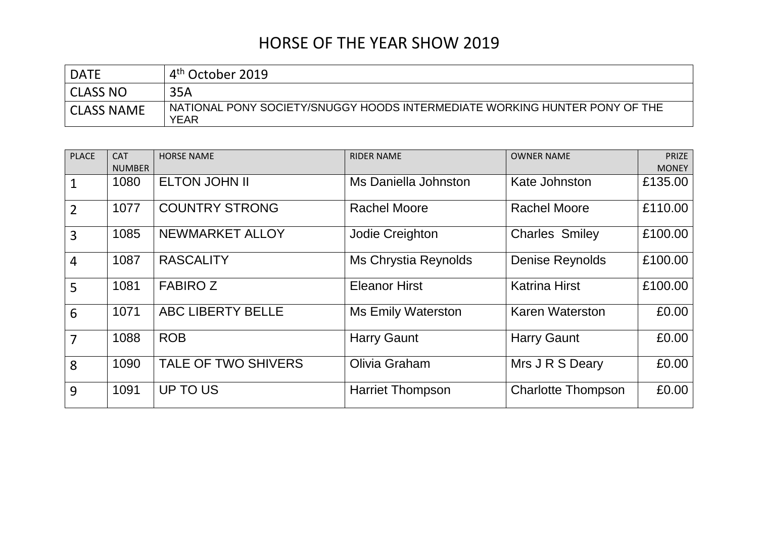| <b>DATE</b>       | $+4^{\text{th}}$ October 2019                                                      |
|-------------------|------------------------------------------------------------------------------------|
| <b>CLASS NO</b>   | 35A                                                                                |
| <b>CLASS NAME</b> | NATIONAL PONY SOCIETY/SNUGGY HOODS INTERMEDIATE WORKING HUNTER PONY OF THE<br>YEAR |

| <b>PLACE</b>   | <b>CAT</b><br><b>NUMBER</b> | <b>HORSE NAME</b>        | <b>RIDER NAME</b>         | <b>OWNER NAME</b>         | <b>PRIZE</b><br><b>MONEY</b> |
|----------------|-----------------------------|--------------------------|---------------------------|---------------------------|------------------------------|
| 1              | 1080                        | <b>ELTON JOHN II</b>     | Ms Daniella Johnston      | Kate Johnston             | £135.00                      |
| $\overline{2}$ | 1077                        | <b>COUNTRY STRONG</b>    | <b>Rachel Moore</b>       | <b>Rachel Moore</b>       | £110.00                      |
| $\overline{3}$ | 1085                        | NEWMARKET ALLOY          | Jodie Creighton           | <b>Charles Smiley</b>     | £100.00                      |
| $\overline{4}$ | 1087                        | <b>RASCALITY</b>         | Ms Chrystia Reynolds      | <b>Denise Reynolds</b>    | £100.00                      |
| 5              | 1081                        | <b>FABIROZ</b>           | <b>Eleanor Hirst</b>      | <b>Katrina Hirst</b>      | £100.00                      |
| 6              | 1071                        | <b>ABC LIBERTY BELLE</b> | <b>Ms Emily Waterston</b> | <b>Karen Waterston</b>    | £0.00                        |
| 7              | 1088                        | <b>ROB</b>               | <b>Harry Gaunt</b>        | <b>Harry Gaunt</b>        | £0.00                        |
| 8              | 1090                        | TALE OF TWO SHIVERS      | Olivia Graham             | Mrs J R S Deary           | £0.00                        |
| 9              | 1091                        | UP TO US                 | <b>Harriet Thompson</b>   | <b>Charlotte Thompson</b> | £0.00                        |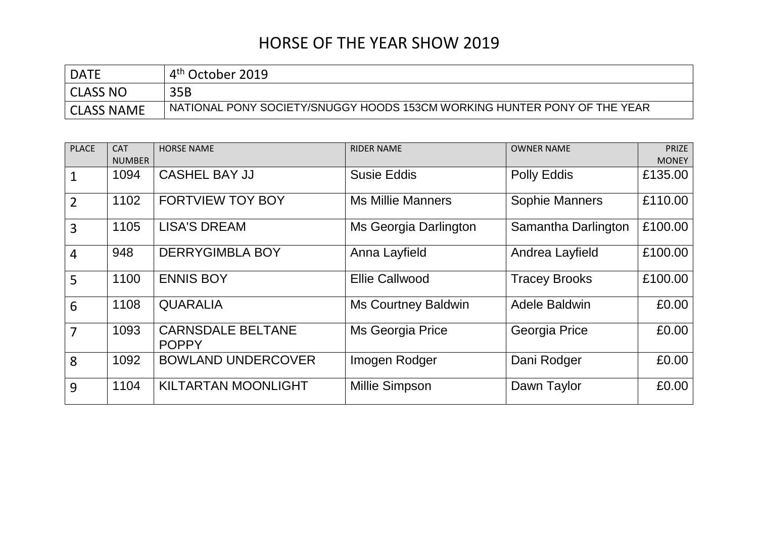| <b>DATE</b>       | $\mathbf{\Lambda}^{\textsf{th}}$<br>' October 2019                       |
|-------------------|--------------------------------------------------------------------------|
| <b>CLASS NO</b>   | 35B                                                                      |
| <b>CLASS NAME</b> | NATIONAL PONY SOCIETY/SNUGGY HOODS 153CM WORKING HUNTER PONY OF THE YEAR |

| <b>PLACE</b>   | <b>CAT</b>    | <b>HORSE NAME</b>                        | <b>RIDER NAME</b>          | <b>OWNER NAME</b>     | <b>PRIZE</b> |
|----------------|---------------|------------------------------------------|----------------------------|-----------------------|--------------|
|                | <b>NUMBER</b> |                                          |                            |                       | <b>MONEY</b> |
|                | 1094          | <b>CASHEL BAY JJ</b>                     | <b>Susie Eddis</b>         | Polly Eddis           | £135.00      |
| $\overline{2}$ | 1102          | <b>FORTVIEW TOY BOY</b>                  | <b>Ms Millie Manners</b>   | <b>Sophie Manners</b> | £110.00      |
| $\overline{3}$ | 1105          | <b>LISA'S DREAM</b>                      | Ms Georgia Darlington      | Samantha Darlington   | £100.00      |
| $\overline{4}$ | 948           | <b>DERRYGIMBLA BOY</b>                   | Anna Layfield              | Andrea Layfield       | £100.00      |
| 5              | 1100          | <b>ENNIS BOY</b>                         | <b>Ellie Callwood</b>      | <b>Tracey Brooks</b>  | £100.00      |
| 6              | 1108          | <b>QUARALIA</b>                          | <b>Ms Courtney Baldwin</b> | Adele Baldwin         | £0.00        |
| 7              | 1093          | <b>CARNSDALE BELTANE</b><br><b>POPPY</b> | <b>Ms Georgia Price</b>    | Georgia Price         | £0.00        |
| 8              | 1092          | <b>BOWLAND UNDERCOVER</b>                | Imogen Rodger              | Dani Rodger           | £0.00        |
| 9              | 1104          | <b>KILTARTAN MOONLIGHT</b>               | Millie Simpson             | Dawn Taylor           | £0.00        |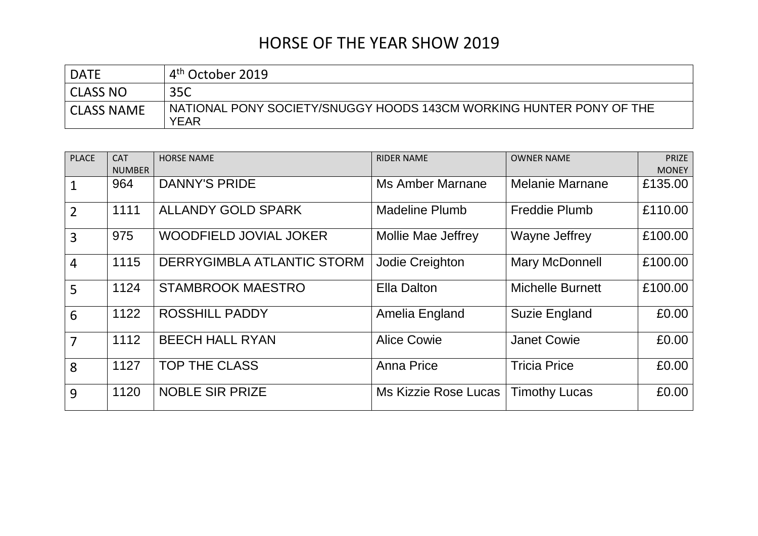| <b>DATE</b>       | . 4 <sup>th</sup> October 2019                                                     |
|-------------------|------------------------------------------------------------------------------------|
| <b>CLASS NO</b>   | 35C                                                                                |
| <b>CLASS NAME</b> | NATIONAL PONY SOCIETY/SNUGGY HOODS 143CM WORKING HUNTER PONY OF THE<br><b>YEAR</b> |

| <b>PLACE</b>   | <b>CAT</b><br><b>NUMBER</b> | <b>HORSE NAME</b>             | <b>RIDER NAME</b>     | <b>OWNER NAME</b>       | <b>PRIZE</b><br><b>MONEY</b> |
|----------------|-----------------------------|-------------------------------|-----------------------|-------------------------|------------------------------|
|                | 964                         | <b>DANNY'S PRIDE</b>          | Ms Amber Marnane      | <b>Melanie Marnane</b>  | £135.00                      |
| $\overline{2}$ | 1111                        | <b>ALLANDY GOLD SPARK</b>     | <b>Madeline Plumb</b> | <b>Freddie Plumb</b>    | £110.00                      |
| $\overline{3}$ | 975                         | <b>WOODFIELD JOVIAL JOKER</b> | Mollie Mae Jeffrey    | <b>Wayne Jeffrey</b>    | £100.00                      |
| $\overline{4}$ | 1115                        | DERRYGIMBLA ATLANTIC STORM    | Jodie Creighton       | Mary McDonnell          | £100.00                      |
| 5              | 1124                        | <b>STAMBROOK MAESTRO</b>      | <b>Ella Dalton</b>    | <b>Michelle Burnett</b> | £100.00                      |
| 6              | 1122                        | <b>ROSSHILL PADDY</b>         | Amelia England        | <b>Suzie England</b>    | £0.00                        |
| $\overline{7}$ | 1112                        | <b>BEECH HALL RYAN</b>        | <b>Alice Cowie</b>    | <b>Janet Cowie</b>      | £0.00                        |
| 8              | 1127                        | <b>TOP THE CLASS</b>          | <b>Anna Price</b>     | <b>Tricia Price</b>     | £0.00                        |
| 9              | 1120                        | <b>NOBLE SIR PRIZE</b>        | Ms Kizzie Rose Lucas  | <b>Timothy Lucas</b>    | £0.00                        |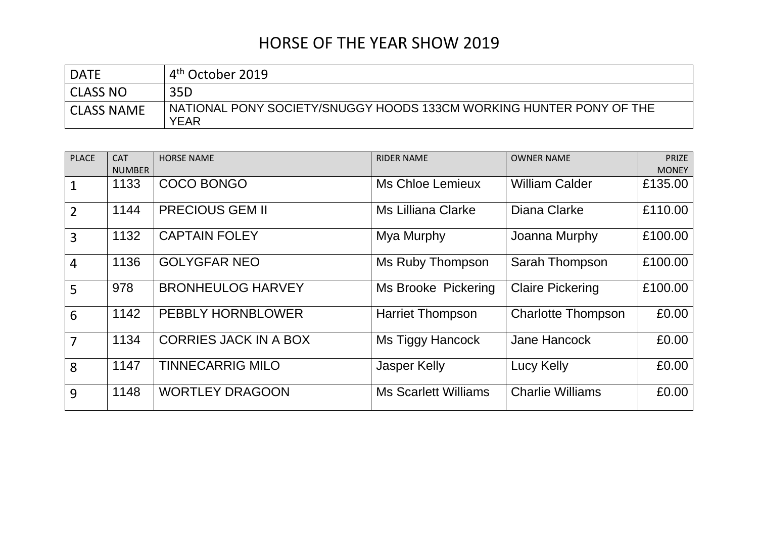| <b>DATE</b>       | . 4 <sup>th</sup> October 2019                                                     |
|-------------------|------------------------------------------------------------------------------------|
| <b>CLASS NO</b>   | 35D                                                                                |
| <b>CLASS NAME</b> | NATIONAL PONY SOCIETY/SNUGGY HOODS 133CM WORKING HUNTER PONY OF THE<br><b>YEAR</b> |

| <b>PLACE</b>   | <b>CAT</b><br><b>NUMBER</b> | <b>HORSE NAME</b>            | <b>RIDER NAME</b>           | <b>OWNER NAME</b>         | <b>PRIZE</b><br><b>MONEY</b> |
|----------------|-----------------------------|------------------------------|-----------------------------|---------------------------|------------------------------|
|                | 1133                        | <b>COCO BONGO</b>            | Ms Chloe Lemieux            | <b>William Calder</b>     | £135.00                      |
| $\overline{2}$ | 1144                        | <b>PRECIOUS GEM II</b>       | Ms Lilliana Clarke          | Diana Clarke              | £110.00                      |
| $\overline{3}$ | 1132                        | <b>CAPTAIN FOLEY</b>         | Mya Murphy                  | Joanna Murphy             | £100.00                      |
| $\overline{4}$ | 1136                        | <b>GOLYGFAR NEO</b>          | Ms Ruby Thompson            | Sarah Thompson            | £100.00                      |
| 5              | 978                         | <b>BRONHEULOG HARVEY</b>     | <b>Ms Brooke Pickering</b>  | <b>Claire Pickering</b>   | £100.00                      |
| 6              | 1142                        | <b>PEBBLY HORNBLOWER</b>     | <b>Harriet Thompson</b>     | <b>Charlotte Thompson</b> | £0.00                        |
| $\overline{7}$ | 1134                        | <b>CORRIES JACK IN A BOX</b> | Ms Tiggy Hancock            | Jane Hancock              | £0.00                        |
| 8              | 1147                        | <b>TINNECARRIG MILO</b>      | <b>Jasper Kelly</b>         | <b>Lucy Kelly</b>         | £0.00                        |
| 9              | 1148                        | <b>WORTLEY DRAGOON</b>       | <b>Ms Scarlett Williams</b> | <b>Charlie Williams</b>   | £0.00                        |